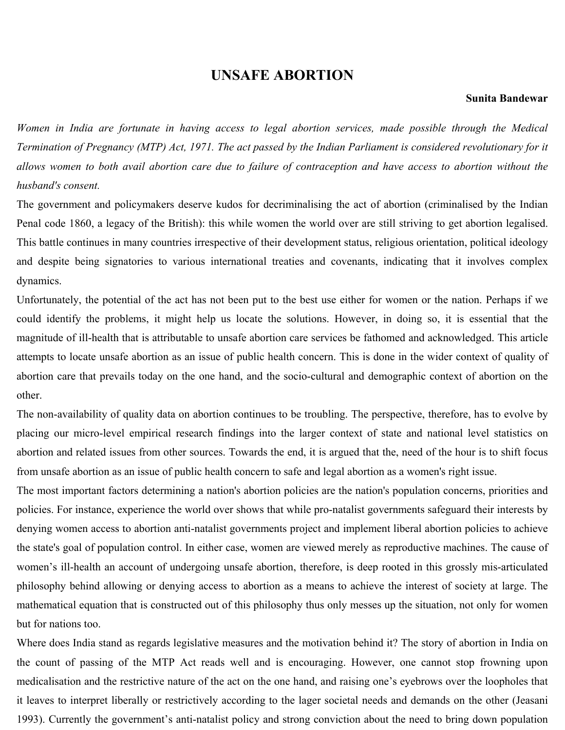## **UNSAFE ABORTION**

## **Sunita Bandewar**

*Women in India are fortunate in having access to legal abortion services, made possible through the Medical Termination of Pregnancy (MTP) Act, 1971. The act passed by the Indian Parliament is considered revolutionary for it allows women to both avail abortion care due to failure of contraception and have access to abortion without the husband's consent.* 

The government and policymakers deserve kudos for decriminalising the act of abortion (criminalised by the Indian Penal code 1860, a legacy of the British): this while women the world over are still striving to get abortion legalised. This battle continues in many countries irrespective of their development status, religious orientation, political ideology and despite being signatories to various international treaties and covenants, indicating that it involves complex dynamics.

Unfortunately, the potential of the act has not been put to the best use either for women or the nation. Perhaps if we could identify the problems, it might help us locate the solutions. However, in doing so, it is essential that the magnitude of ill-health that is attributable to unsafe abortion care services be fathomed and acknowledged. This article attempts to locate unsafe abortion as an issue of public health concern. This is done in the wider context of quality of abortion care that prevails today on the one hand, and the socio-cultural and demographic context of abortion on the other.

The non-availability of quality data on abortion continues to be troubling. The perspective, therefore, has to evolve by placing our micro-level empirical research findings into the larger context of state and national level statistics on abortion and related issues from other sources. Towards the end, it is argued that the, need of the hour is to shift focus from unsafe abortion as an issue of public health concern to safe and legal abortion as a women's right issue.

The most important factors determining a nation's abortion policies are the nation's population concerns, priorities and policies. For instance, experience the world over shows that while pro-natalist governments safeguard their interests by denying women access to abortion anti-natalist governments project and implement liberal abortion policies to achieve the state's goal of population control. In either case, women are viewed merely as reproductive machines. The cause of women's ill-health an account of undergoing unsafe abortion, therefore, is deep rooted in this grossly mis-articulated philosophy behind allowing or denying access to abortion as a means to achieve the interest of society at large. The mathematical equation that is constructed out of this philosophy thus only messes up the situation, not only for women but for nations too.

Where does India stand as regards legislative measures and the motivation behind it? The story of abortion in India on the count of passing of the MTP Act reads well and is encouraging. However, one cannot stop frowning upon medicalisation and the restrictive nature of the act on the one hand, and raising one's eyebrows over the loopholes that it leaves to interpret liberally or restrictively according to the lager societal needs and demands on the other (Jeasani 1993). Currently the government's anti-natalist policy and strong conviction about the need to bring down population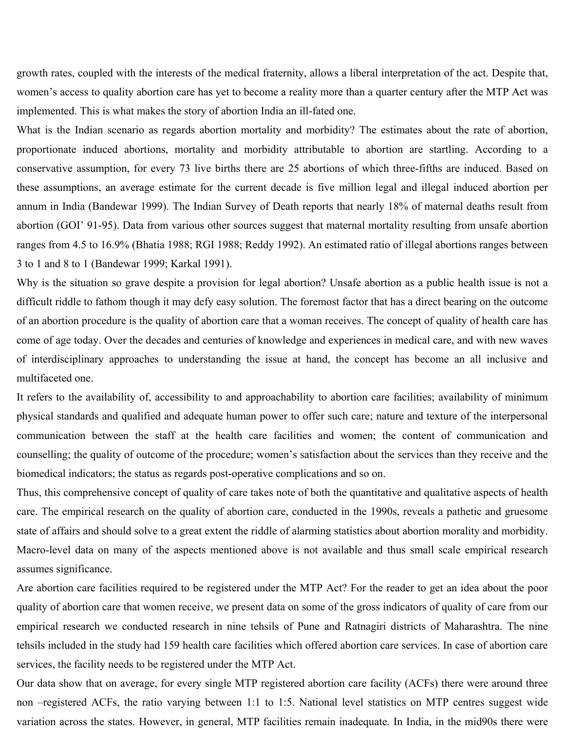growth rates, coupled with the interests of the medical fraternity, allows a liberal interpretation of the act. Despite that, women's access to quality abortion care has yet to become a reality more than a quarter century after the MTP Act was implemented. This is what makes the story of abortion India an ill-fated one.

What is the Indian scenario as regards abortion mortality and morbidity? The estimates about the rate of abortion, proportionate induced abortions, mortality and morbidity attributable to abortion are startling. According to a conservative assumption, for every 73 live births there are 25 abortions of which three-fifths are induced. Based on these assumptions, an average estimate for the current decade is five million legal and illegal induced abortion per annum in India (Bandewar 1999). The Indian Survey of Death reports that nearly 18% of maternal deaths result from abortion (GOI' 91-95). Data from various other sources suggest that maternal mortality resulting from unsafe abortion ranges from 4.5 to 16.9% (Bhatia 1988; RGI 1988; Reddy 1992). An estimated ratio of illegal abortions ranges between 3 to 1 and 8 to 1 (Bandewar 1999; Karkal 1991).

Why is the situation so grave despite a provision for legal abortion? Unsafe abortion as a public health issue is not a difficult riddle to fathom though it may defy easy solution. The foremost factor that has a direct bearing on the outcome of an abortion procedure is the quality of abortion care that a woman receives. The concept of quality of health care has come of age today. Over the decades and centuries of knowledge and experiences in medical care, and with new waves of interdisciplinary approaches to understanding the issue at hand, the concept has become an all inclusive and multifaceted one.

It refers to the availability of, accessibility to and approachability to abortion care facilities; availability of minimum physical standards and qualified and adequate human power to offer such care; nature and texture of the interpersonal communication between the staff at the health care facilities and women; the content of communication and counselling; the quality of outcome of the procedure; women's satisfaction about the services than they receive and the biomedical indicators; the status as regards post-operative complications and so on.

Thus, this comprehensive concept of quality of care takes note of both the quantitative and qualitative aspects of health care. The empirical research on the quality of abortion care, conducted in the 1990s, reveals a pathetic and gruesome state of affairs and should solve to a great extent the riddle of alarming statistics about abortion morality and morbidity. Macro-level data on many of the aspects mentioned above is not available and thus small scale empirical research assumes significance.

Are abortion care facilities required to be registered under the MTP Act? For the reader to get an idea about the poor quality of abortion care that women receive, we present data on some of the gross indicators of quality of care from our empirical research we conducted research in nine tehsils of Pune and Ratnagiri districts of Maharashtra. The nine tehsils included in the study had 159 health care facilities which offered abortion care services. In case of abortion care services, the facility needs to be registered under the MTP Act.

Our data show that on average, for every single MTP registered abortion care facility (ACFs) there were around three non –registered ACFs, the ratio varying between 1:1 to 1:5. National level statistics on MTP centres suggest wide variation across the states. However, in general, MTP facilities remain inadequate. In India, in the mid90s there were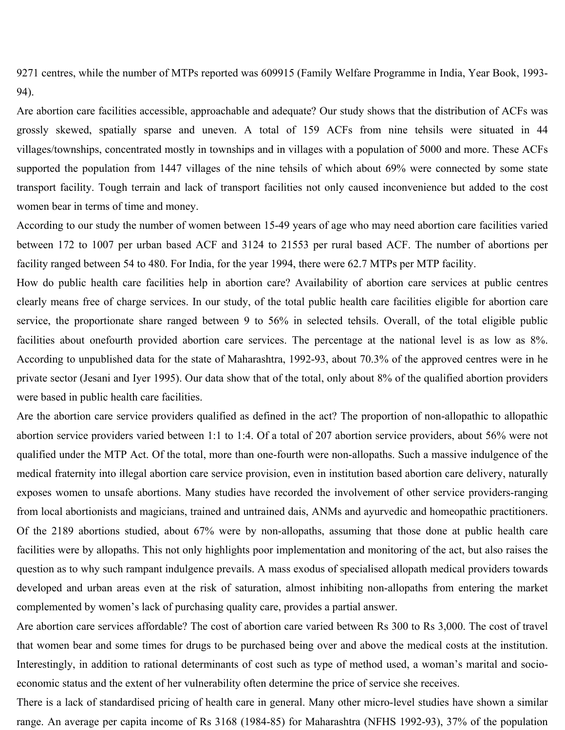9271 centres, while the number of MTPs reported was 609915 (Family Welfare Programme in India, Year Book, 1993- 94).

Are abortion care facilities accessible, approachable and adequate? Our study shows that the distribution of ACFs was grossly skewed, spatially sparse and uneven. A total of 159 ACFs from nine tehsils were situated in 44 villages/townships, concentrated mostly in townships and in villages with a population of 5000 and more. These ACFs supported the population from 1447 villages of the nine tehsils of which about 69% were connected by some state transport facility. Tough terrain and lack of transport facilities not only caused inconvenience but added to the cost women bear in terms of time and money.

According to our study the number of women between 15-49 years of age who may need abortion care facilities varied between 172 to 1007 per urban based ACF and 3124 to 21553 per rural based ACF. The number of abortions per facility ranged between 54 to 480. For India, for the year 1994, there were 62.7 MTPs per MTP facility.

How do public health care facilities help in abortion care? Availability of abortion care services at public centres clearly means free of charge services. In our study, of the total public health care facilities eligible for abortion care service, the proportionate share ranged between 9 to 56% in selected tehsils. Overall, of the total eligible public facilities about onefourth provided abortion care services. The percentage at the national level is as low as 8%. According to unpublished data for the state of Maharashtra, 1992-93, about 70.3% of the approved centres were in he private sector (Jesani and Iyer 1995). Our data show that of the total, only about 8% of the qualified abortion providers were based in public health care facilities.

Are the abortion care service providers qualified as defined in the act? The proportion of non-allopathic to allopathic abortion service providers varied between 1:1 to 1:4. Of a total of 207 abortion service providers, about 56% were not qualified under the MTP Act. Of the total, more than one-fourth were non-allopaths. Such a massive indulgence of the medical fraternity into illegal abortion care service provision, even in institution based abortion care delivery, naturally exposes women to unsafe abortions. Many studies have recorded the involvement of other service providers-ranging from local abortionists and magicians, trained and untrained dais, ANMs and ayurvedic and homeopathic practitioners. Of the 2189 abortions studied, about 67% were by non-allopaths, assuming that those done at public health care facilities were by allopaths. This not only highlights poor implementation and monitoring of the act, but also raises the question as to why such rampant indulgence prevails. A mass exodus of specialised allopath medical providers towards developed and urban areas even at the risk of saturation, almost inhibiting non-allopaths from entering the market complemented by women's lack of purchasing quality care, provides a partial answer.

Are abortion care services affordable? The cost of abortion care varied between Rs 300 to Rs 3,000. The cost of travel that women bear and some times for drugs to be purchased being over and above the medical costs at the institution. Interestingly, in addition to rational determinants of cost such as type of method used, a woman's marital and socioeconomic status and the extent of her vulnerability often determine the price of service she receives.

There is a lack of standardised pricing of health care in general. Many other micro-level studies have shown a similar range. An average per capita income of Rs 3168 (1984-85) for Maharashtra (NFHS 1992-93), 37% of the population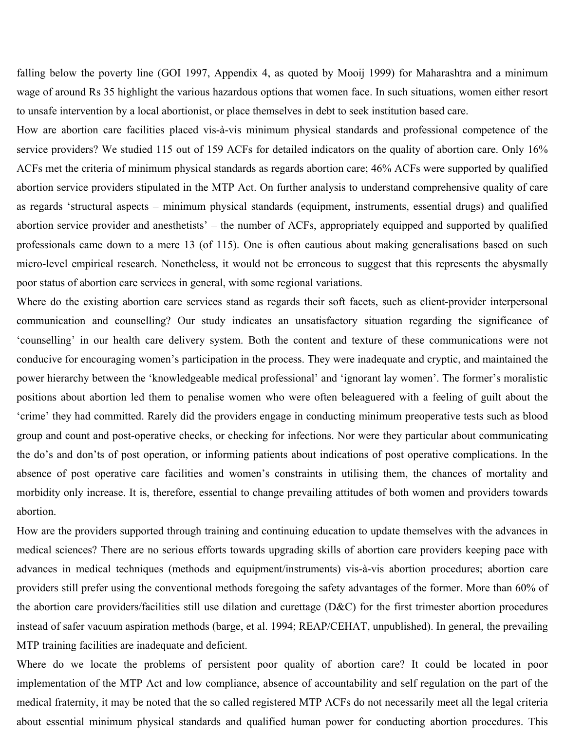falling below the poverty line (GOI 1997, Appendix 4, as quoted by Mooij 1999) for Maharashtra and a minimum wage of around Rs 35 highlight the various hazardous options that women face. In such situations, women either resort to unsafe intervention by a local abortionist, or place themselves in debt to seek institution based care.

How are abortion care facilities placed vis-à-vis minimum physical standards and professional competence of the service providers? We studied 115 out of 159 ACFs for detailed indicators on the quality of abortion care. Only 16% ACFs met the criteria of minimum physical standards as regards abortion care; 46% ACFs were supported by qualified abortion service providers stipulated in the MTP Act. On further analysis to understand comprehensive quality of care as regards 'structural aspects – minimum physical standards (equipment, instruments, essential drugs) and qualified abortion service provider and anesthetists' – the number of ACFs, appropriately equipped and supported by qualified professionals came down to a mere 13 (of 115). One is often cautious about making generalisations based on such micro-level empirical research. Nonetheless, it would not be erroneous to suggest that this represents the abysmally poor status of abortion care services in general, with some regional variations.

Where do the existing abortion care services stand as regards their soft facets, such as client-provider interpersonal communication and counselling? Our study indicates an unsatisfactory situation regarding the significance of 'counselling' in our health care delivery system. Both the content and texture of these communications were not conducive for encouraging women's participation in the process. They were inadequate and cryptic, and maintained the power hierarchy between the 'knowledgeable medical professional' and 'ignorant lay women'. The former's moralistic positions about abortion led them to penalise women who were often beleaguered with a feeling of guilt about the 'crime' they had committed. Rarely did the providers engage in conducting minimum preoperative tests such as blood group and count and post-operative checks, or checking for infections. Nor were they particular about communicating the do's and don'ts of post operation, or informing patients about indications of post operative complications. In the absence of post operative care facilities and women's constraints in utilising them, the chances of mortality and morbidity only increase. It is, therefore, essential to change prevailing attitudes of both women and providers towards abortion.

How are the providers supported through training and continuing education to update themselves with the advances in medical sciences? There are no serious efforts towards upgrading skills of abortion care providers keeping pace with advances in medical techniques (methods and equipment/instruments) vis-à-vis abortion procedures; abortion care providers still prefer using the conventional methods foregoing the safety advantages of the former. More than 60% of the abortion care providers/facilities still use dilation and curettage (D&C) for the first trimester abortion procedures instead of safer vacuum aspiration methods (barge, et al. 1994; REAP/CEHAT, unpublished). In general, the prevailing MTP training facilities are inadequate and deficient.

Where do we locate the problems of persistent poor quality of abortion care? It could be located in poor implementation of the MTP Act and low compliance, absence of accountability and self regulation on the part of the medical fraternity, it may be noted that the so called registered MTP ACFs do not necessarily meet all the legal criteria about essential minimum physical standards and qualified human power for conducting abortion procedures. This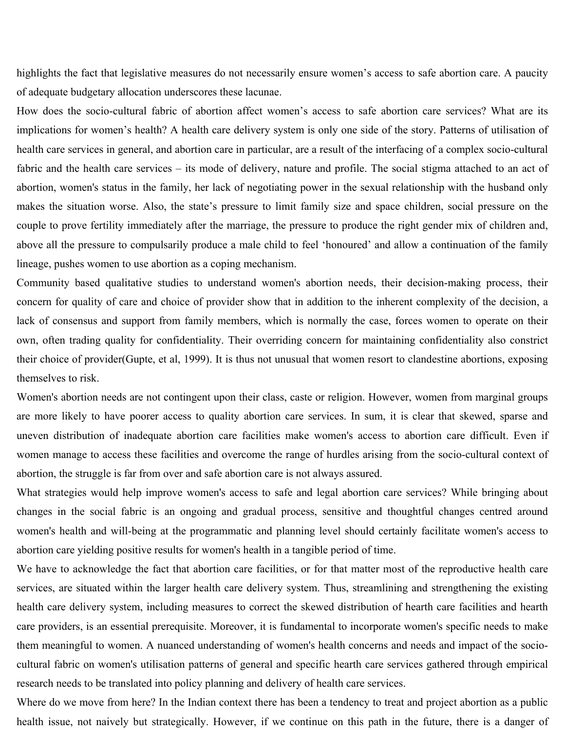highlights the fact that legislative measures do not necessarily ensure women's access to safe abortion care. A paucity of adequate budgetary allocation underscores these lacunae.

How does the socio-cultural fabric of abortion affect women's access to safe abortion care services? What are its implications for women's health? A health care delivery system is only one side of the story. Patterns of utilisation of health care services in general, and abortion care in particular, are a result of the interfacing of a complex socio-cultural fabric and the health care services – its mode of delivery, nature and profile. The social stigma attached to an act of abortion, women's status in the family, her lack of negotiating power in the sexual relationship with the husband only makes the situation worse. Also, the state's pressure to limit family size and space children, social pressure on the couple to prove fertility immediately after the marriage, the pressure to produce the right gender mix of children and, above all the pressure to compulsarily produce a male child to feel 'honoured' and allow a continuation of the family lineage, pushes women to use abortion as a coping mechanism.

Community based qualitative studies to understand women's abortion needs, their decision-making process, their concern for quality of care and choice of provider show that in addition to the inherent complexity of the decision, a lack of consensus and support from family members, which is normally the case, forces women to operate on their own, often trading quality for confidentiality. Their overriding concern for maintaining confidentiality also constrict their choice of provider(Gupte, et al, 1999). It is thus not unusual that women resort to clandestine abortions, exposing themselves to risk.

Women's abortion needs are not contingent upon their class, caste or religion. However, women from marginal groups are more likely to have poorer access to quality abortion care services. In sum, it is clear that skewed, sparse and uneven distribution of inadequate abortion care facilities make women's access to abortion care difficult. Even if women manage to access these facilities and overcome the range of hurdles arising from the socio-cultural context of abortion, the struggle is far from over and safe abortion care is not always assured.

What strategies would help improve women's access to safe and legal abortion care services? While bringing about changes in the social fabric is an ongoing and gradual process, sensitive and thoughtful changes centred around women's health and will-being at the programmatic and planning level should certainly facilitate women's access to abortion care yielding positive results for women's health in a tangible period of time.

We have to acknowledge the fact that abortion care facilities, or for that matter most of the reproductive health care services, are situated within the larger health care delivery system. Thus, streamlining and strengthening the existing health care delivery system, including measures to correct the skewed distribution of hearth care facilities and hearth care providers, is an essential prerequisite. Moreover, it is fundamental to incorporate women's specific needs to make them meaningful to women. A nuanced understanding of women's health concerns and needs and impact of the sociocultural fabric on women's utilisation patterns of general and specific hearth care services gathered through empirical research needs to be translated into policy planning and delivery of health care services.

Where do we move from here? In the Indian context there has been a tendency to treat and project abortion as a public health issue, not naively but strategically. However, if we continue on this path in the future, there is a danger of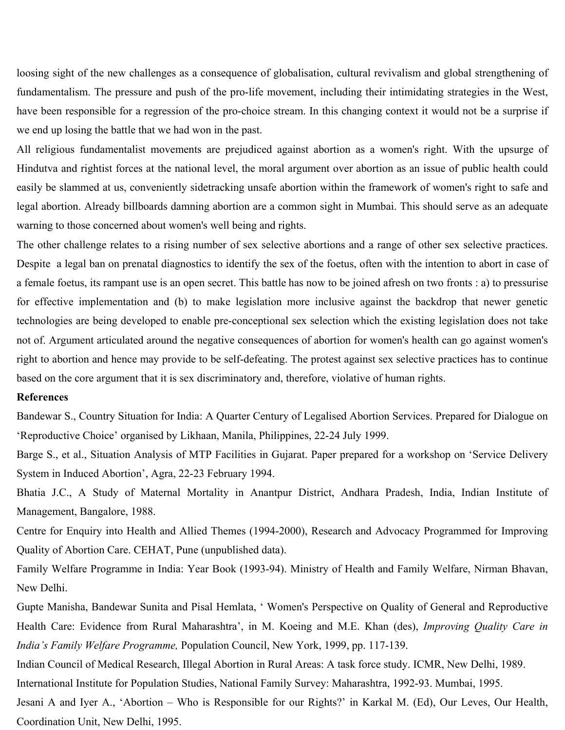loosing sight of the new challenges as a consequence of globalisation, cultural revivalism and global strengthening of fundamentalism. The pressure and push of the pro-life movement, including their intimidating strategies in the West, have been responsible for a regression of the pro-choice stream. In this changing context it would not be a surprise if we end up losing the battle that we had won in the past.

All religious fundamentalist movements are prejudiced against abortion as a women's right. With the upsurge of Hindutva and rightist forces at the national level, the moral argument over abortion as an issue of public health could easily be slammed at us, conveniently sidetracking unsafe abortion within the framework of women's right to safe and legal abortion. Already billboards damning abortion are a common sight in Mumbai. This should serve as an adequate warning to those concerned about women's well being and rights.

The other challenge relates to a rising number of sex selective abortions and a range of other sex selective practices. Despite a legal ban on prenatal diagnostics to identify the sex of the foetus, often with the intention to abort in case of a female foetus, its rampant use is an open secret. This battle has now to be joined afresh on two fronts : a) to pressurise for effective implementation and (b) to make legislation more inclusive against the backdrop that newer genetic technologies are being developed to enable pre-conceptional sex selection which the existing legislation does not take not of. Argument articulated around the negative consequences of abortion for women's health can go against women's right to abortion and hence may provide to be self-defeating. The protest against sex selective practices has to continue based on the core argument that it is sex discriminatory and, therefore, violative of human rights.

## **References**

Bandewar S., Country Situation for India: A Quarter Century of Legalised Abortion Services. Prepared for Dialogue on 'Reproductive Choice' organised by Likhaan, Manila, Philippines, 22-24 July 1999.

Barge S., et al., Situation Analysis of MTP Facilities in Gujarat. Paper prepared for a workshop on 'Service Delivery System in Induced Abortion', Agra, 22-23 February 1994.

Bhatia J.C., A Study of Maternal Mortality in Anantpur District, Andhara Pradesh, India, Indian Institute of Management, Bangalore, 1988.

Centre for Enquiry into Health and Allied Themes (1994-2000), Research and Advocacy Programmed for Improving Quality of Abortion Care. CEHAT, Pune (unpublished data).

Family Welfare Programme in India: Year Book (1993-94). Ministry of Health and Family Welfare, Nirman Bhavan, New Delhi.

Gupte Manisha, Bandewar Sunita and Pisal Hemlata, ' Women's Perspective on Quality of General and Reproductive Health Care: Evidence from Rural Maharashtra', in M. Koeing and M.E. Khan (des), *Improving Quality Care in India's Family Welfare Programme,* Population Council, New York, 1999, pp. 117-139.

Indian Council of Medical Research, Illegal Abortion in Rural Areas: A task force study. ICMR, New Delhi, 1989.

International Institute for Population Studies, National Family Survey: Maharashtra, 1992-93. Mumbai, 1995.

Jesani A and Iyer A., 'Abortion – Who is Responsible for our Rights?' in Karkal M. (Ed), Our Leves, Our Health, Coordination Unit, New Delhi, 1995.